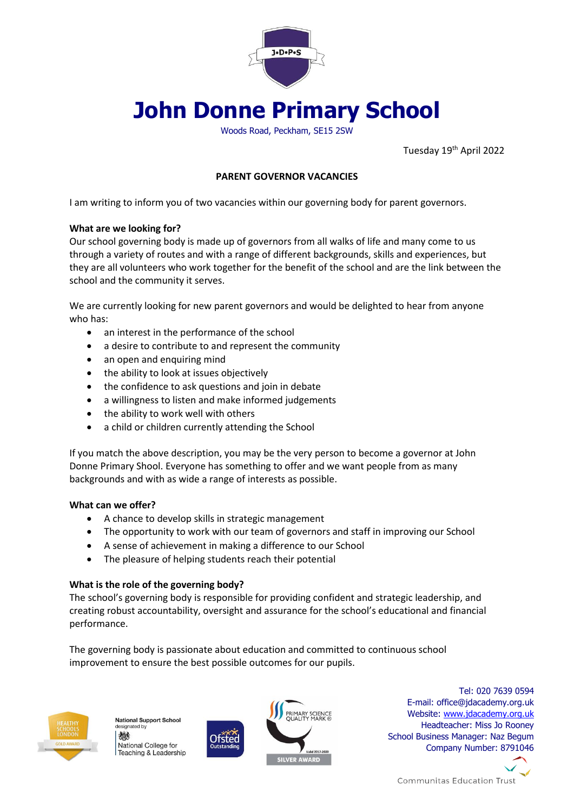

# **John Donne Primary School**

Woods Road, Peckham, SE15 2SW

Tuesday 19<sup>th</sup> April 2022

# **PARENT GOVERNOR VACANCIES**

I am writing to inform you of two vacancies within our governing body for parent governors.

## **What are we looking for?**

Our school governing body is made up of governors from all walks of life and many come to us through a variety of routes and with a range of different backgrounds, skills and experiences, but they are all volunteers who work together for the benefit of the school and are the link between the school and the community it serves.

We are currently looking for new parent governors and would be delighted to hear from anyone who has:

- an interest in the performance of the school
- a desire to contribute to and represent the community
- an open and enquiring mind
- the ability to look at issues objectively
- the confidence to ask questions and join in debate
- a willingness to listen and make informed judgements
- the ability to work well with others
- a child or children currently attending the School

If you match the above description, you may be the very person to become a governor at John Donne Primary Shool. Everyone has something to offer and we want people from as many backgrounds and with as wide a range of interests as possible.

## **What can we offer?**

- A chance to develop skills in strategic management
- The opportunity to work with our team of governors and staff in improving our School
- A sense of achievement in making a difference to our School
- The pleasure of helping students reach their potential

## **What is the role of the governing body?**

The school's governing body is responsible for providing confident and strategic leadership, and creating robust accountability, oversight and assurance for the school's educational and financial performance.

The governing body is passionate about education and committed to continuous school improvement to ensure the best possible outcomes for our pupils.



**National Support School** designated by 炒 National College for Teaching & Leadership



Tel: 020 7639 0594 E-mail: office@jdacademy.org.uk Website: [www.jdacademy.org.uk](http://www.jdacademy.org.uk/) Headteacher: Miss Jo Rooney School Business Manager: Naz Begum Company Number: 8791046



**Communitas Education Trust**